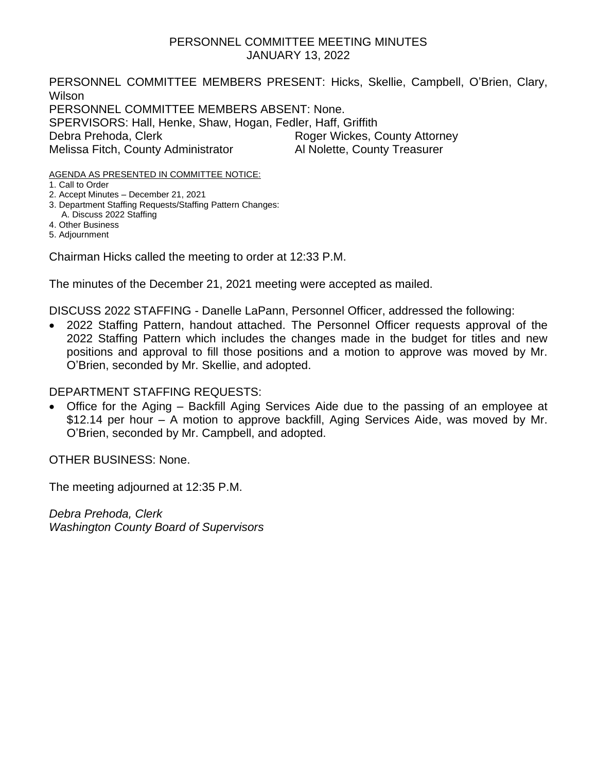## PERSONNEL COMMITTEE MEETING MINUTES JANUARY 13, 2022

PERSONNEL COMMITTEE MEMBERS PRESENT: Hicks, Skellie, Campbell, O'Brien, Clary, Wilson PERSONNEL COMMITTEE MEMBERS ABSENT: None. SPERVISORS: Hall, Henke, Shaw, Hogan, Fedler, Haff, Griffith Debra Prehoda, Clerk Roger Wickes, County Attorney Melissa Fitch, County Administrator Al Nolette, County Treasurer

AGENDA AS PRESENTED IN COMMITTEE NOTICE:

1. Call to Order

2. Accept Minutes – December 21, 2021

3. Department Staffing Requests/Staffing Pattern Changes:

 A. Discuss 2022 Staffing 4. Other Business

5. Adjournment

Chairman Hicks called the meeting to order at 12:33 P.M.

The minutes of the December 21, 2021 meeting were accepted as mailed.

DISCUSS 2022 STAFFING - Danelle LaPann, Personnel Officer, addressed the following:

• 2022 Staffing Pattern, handout attached. The Personnel Officer requests approval of the 2022 Staffing Pattern which includes the changes made in the budget for titles and new positions and approval to fill those positions and a motion to approve was moved by Mr. O'Brien, seconded by Mr. Skellie, and adopted.

# DEPARTMENT STAFFING REQUESTS:

• Office for the Aging – Backfill Aging Services Aide due to the passing of an employee at \$12.14 per hour – A motion to approve backfill, Aging Services Aide, was moved by Mr. O'Brien, seconded by Mr. Campbell, and adopted.

OTHER BUSINESS: None.

The meeting adjourned at 12:35 P.M.

*Debra Prehoda, Clerk Washington County Board of Supervisors*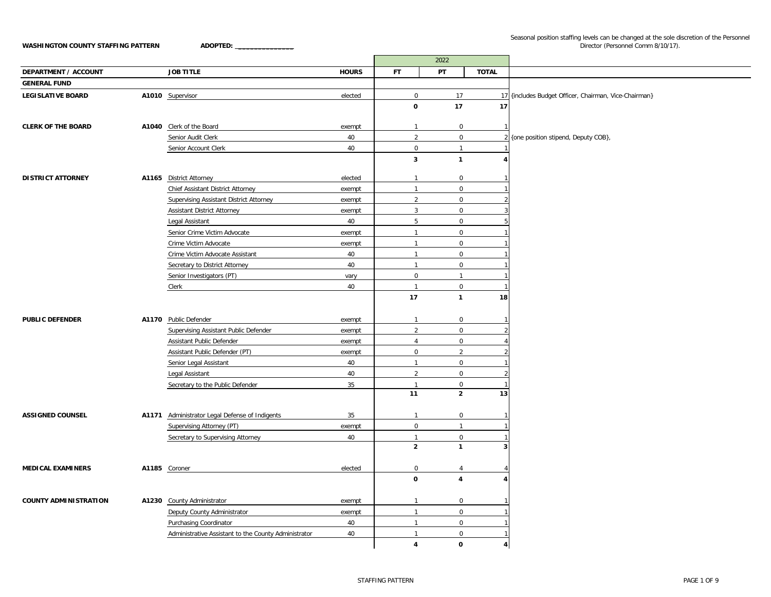Seasonal position staffing levels can be changed at the sole discretion of the Personnel Director (Personnel Comm 8/10/17).

|                              |                                                      |              |                                | 2022                        |                |                                                       |
|------------------------------|------------------------------------------------------|--------------|--------------------------------|-----------------------------|----------------|-------------------------------------------------------|
| <b>DEPARTMENT / ACCOUNT</b>  | <b>JOB TITLE</b>                                     | <b>HOURS</b> | <b>FT</b>                      | PT                          | <b>TOTAL</b>   |                                                       |
| <b>GENERAL FUND</b>          |                                                      |              |                                |                             |                |                                                       |
| <b>LEGISLATIVE BOARD</b>     | A1010 Supervisor                                     | elected      | $\mathbf 0$                    | 17                          |                | 17 (includes Budget Officer, Chairman, Vice-Chairman) |
|                              |                                                      |              | $\mathbf 0$                    | 17                          | 17             |                                                       |
|                              |                                                      |              |                                |                             |                |                                                       |
| <b>CLERK OF THE BOARD</b>    | A1040 Clerk of the Board                             | exempt       | $\mathbf{1}$                   | $\mathbf 0$                 |                |                                                       |
|                              | Senior Audit Clerk                                   | 40           | $\overline{2}$                 | $\mathsf{O}\xspace$         |                | 2 {one position stipend, Deputy COB},                 |
|                              | Senior Account Clerk                                 | 40           | $\mathbf 0$                    | $\mathbf{1}$                |                |                                                       |
|                              |                                                      |              | 3                              | $\mathbf{1}$                |                |                                                       |
| <b>DISTRICT ATTORNEY</b>     | A1165 District Attorney                              | elected      | $\mathbf{1}$                   | 0                           |                |                                                       |
|                              | Chief Assistant District Attorney                    | exempt       | $\mathbf{1}$                   | $\mathbf 0$                 |                |                                                       |
|                              | <b>Supervising Assistant District Attorney</b>       | exempt       | $\overline{2}$                 | $\mathbf 0$                 |                |                                                       |
|                              | Assistant District Attorney                          | exempt       | $\mathbf{3}$                   | $\mathbf 0$                 |                |                                                       |
|                              | Legal Assistant                                      | 40           | 5                              | $\mathsf 0$                 |                |                                                       |
|                              | Senior Crime Victim Advocate                         | exempt       | $\overline{1}$                 | $\mathbf{0}$                |                |                                                       |
|                              | Crime Victim Advocate                                | exempt       | $\mathbf{1}$                   | $\mathbf 0$                 |                |                                                       |
|                              | Crime Victim Advocate Assistant                      | 40           | $\mathbf{1}$                   | $\mathbf 0$                 |                |                                                       |
|                              | Secretary to District Attorney                       | 40           | $\overline{1}$                 | $\mathsf 0$                 |                |                                                       |
|                              | Senior Investigators (PT)                            | vary         | $\mathbf 0$                    | $\mathbf{1}$                |                |                                                       |
|                              | Clerk                                                | 40           | $\mathbf{1}$                   | $\mathbf 0$                 |                |                                                       |
|                              |                                                      |              | 17                             | $\mathbf{1}$                | 18             |                                                       |
|                              |                                                      |              |                                |                             |                |                                                       |
| <b>PUBLIC DEFENDER</b>       | A1170 Public Defender                                | exempt       | $\mathbf{1}$                   | $\mathbf 0$                 |                |                                                       |
|                              | Supervising Assistant Public Defender                | exempt       | $\overline{2}$                 | $\mathbf 0$                 |                |                                                       |
|                              | Assistant Public Defender                            | exempt       | $\overline{4}$                 | $\mathbf 0$                 |                |                                                       |
|                              | Assistant Public Defender (PT)                       | exempt       | 0                              | $\overline{2}$              |                |                                                       |
|                              | Senior Legal Assistant                               | 40           | $\mathbf{1}$                   | $\mathbf 0$                 |                |                                                       |
|                              | Legal Assistant                                      | 40           | $\overline{2}$                 | $\mathsf 0$                 |                |                                                       |
|                              | Secretary to the Public Defender                     | 35           | $\overline{1}$                 | $\mathbf 0$                 |                |                                                       |
|                              |                                                      |              | 11                             | $\mathbf{2}$                | 13             |                                                       |
|                              |                                                      |              |                                |                             |                |                                                       |
| <b>ASSIGNED COUNSEL</b>      | A1171 Administrator Legal Defense of Indigents       | 35           | $\mathbf{1}$                   | $\mathbf 0$                 |                |                                                       |
|                              | Supervising Attorney (PT)                            | exempt       | $\mathsf 0$                    | $\mathbf{1}$                |                |                                                       |
|                              | Secretary to Supervising Attorney                    | 40           | $\mathbf{1}$<br>$\overline{2}$ | $\mathsf 0$<br>$\mathbf{1}$ |                |                                                       |
|                              |                                                      |              |                                |                             |                |                                                       |
| <b>MEDICAL EXAMINERS</b>     |                                                      | elected      | 0                              | $\overline{4}$              |                |                                                       |
|                              | A1185 Coroner                                        |              | $\mathbf 0$                    | 4                           |                |                                                       |
|                              |                                                      |              |                                |                             |                |                                                       |
| <b>COUNTY ADMINISTRATION</b> | A1230 County Administrator                           | exempt       | $\mathbf{1}$                   | $\mathsf 0$                 |                |                                                       |
|                              | Deputy County Administrator                          | exempt       | $\mathbf{1}$                   | $\mathbf 0$                 |                |                                                       |
|                              | Purchasing Coordinator                               | 40           | $\overline{1}$                 | $\mathsf 0$                 |                |                                                       |
|                              | Administrative Assistant to the County Administrator | 40           | $\overline{1}$                 | $\mathbf 0$                 |                |                                                       |
|                              |                                                      |              | $\overline{4}$                 | 0                           | $\overline{4}$ |                                                       |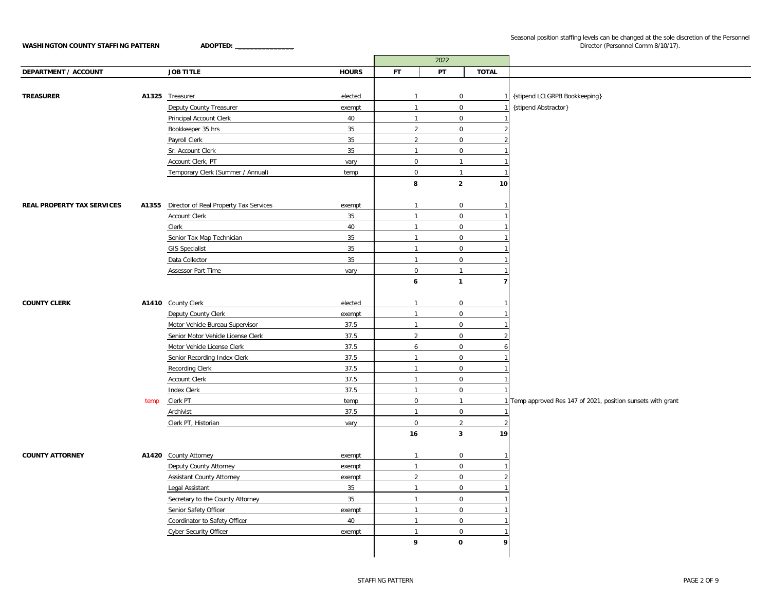#### Seasonal position staffing levels can be changed at the sole discretion of the Personnel Director (Personnel Comm 8/10/17).

|                                   |      |                                              |              |                     | 2022                |                          |                                                              |
|-----------------------------------|------|----------------------------------------------|--------------|---------------------|---------------------|--------------------------|--------------------------------------------------------------|
| <b>DEPARTMENT / ACCOUNT</b>       |      | <b>JOB TITLE</b>                             | <b>HOURS</b> | <b>FT</b>           | PT                  | <b>TOTAL</b>             |                                                              |
|                                   |      |                                              |              |                     |                     |                          |                                                              |
| <b>TREASURER</b>                  |      | A1325 Treasurer                              | elected      | $\overline{1}$      | $\mathbf 0$         |                          | {stipend LCLGRPB Bookkeeping}                                |
|                                   |      | Deputy County Treasurer                      | exempt       | $\overline{1}$      | $\overline{0}$      |                          | {stipend Abstractor}                                         |
|                                   |      | Principal Account Clerk                      | 40           | $\mathbf{1}$        | $\mathsf{O}\xspace$ |                          |                                                              |
|                                   |      | Bookkeeper 35 hrs                            | 35           | 2                   | $\overline{0}$      | $\mathfrak{D}$           |                                                              |
|                                   |      | Payroll Clerk                                | 35           | $\overline{2}$      | $\mathsf{O}\xspace$ | $\overline{\phantom{0}}$ |                                                              |
|                                   |      | Sr. Account Clerk                            | 35           | $\mathbf{1}$        | $\mathbf 0$         |                          |                                                              |
|                                   |      | Account Clerk, PT                            | vary         | $\mathbf 0$         | $\mathbf{1}$        | 1                        |                                                              |
|                                   |      | Temporary Clerk (Summer / Annual)            | temp         | $\pmb{0}$           | $\overline{1}$      | $\mathbf{1}$             |                                                              |
|                                   |      |                                              |              | 8                   | $\overline{2}$      | 10 <sub>1</sub>          |                                                              |
|                                   |      |                                              |              |                     |                     |                          |                                                              |
| <b>REAL PROPERTY TAX SERVICES</b> |      | A1355 Director of Real Property Tax Services | exempt       | $\overline{1}$      | $\mathbf 0$         |                          |                                                              |
|                                   |      | <b>Account Clerk</b>                         | 35           | $\overline{1}$      | $\mathbf 0$         |                          |                                                              |
|                                   |      | Clerk                                        | 40           | $\mathbf{1}$        | $\overline{0}$      |                          |                                                              |
|                                   |      | Senior Tax Map Technician                    | 35           | $\mathbf{1}$        | $\mathsf{O}\xspace$ |                          |                                                              |
|                                   |      | <b>GIS Specialist</b>                        | 35           | $\mathbf{1}$        | $\mathbf 0$         |                          |                                                              |
|                                   |      | Data Collector                               | 35           | $\mathbf{1}$        | $\overline{0}$      |                          |                                                              |
|                                   |      | Assessor Part Time                           | vary         | $\mathbf 0$         | $\mathbf{1}$        |                          |                                                              |
|                                   |      |                                              |              | 6                   | $\mathbf{1}$        | $\overline{7}$           |                                                              |
|                                   |      |                                              |              |                     |                     |                          |                                                              |
| <b>COUNTY CLERK</b>               |      | A1410 County Clerk                           | elected      | $\mathbf{1}$        | $\mathbf 0$         |                          |                                                              |
|                                   |      | Deputy County Clerk                          | exempt       | $\mathbf{1}$        | $\mathbf 0$         |                          |                                                              |
|                                   |      | Motor Vehicle Bureau Supervisor              | 37.5         | $\overline{1}$      | $\mathsf 0$         |                          |                                                              |
|                                   |      | Senior Motor Vehicle License Clerk           | 37.5         | $\overline{2}$      | $\mathbf 0$         | $\mathfrak{p}$           |                                                              |
|                                   |      | Motor Vehicle License Clerk                  | 37.5         | 6                   | $\mathbf 0$         | 6                        |                                                              |
|                                   |      | Senior Recording Index Clerk                 | 37.5         | $\overline{1}$      | $\overline{0}$      |                          |                                                              |
|                                   |      | Recording Clerk                              | 37.5         | $\mathbf{1}$        | $\mathsf{O}\xspace$ |                          |                                                              |
|                                   |      | <b>Account Clerk</b>                         | 37.5         | $\mathbf{1}$        | $\mathbf 0$         |                          |                                                              |
|                                   |      | <b>Index Clerk</b>                           | 37.5         | $\overline{1}$      | $\mathsf 0$         |                          |                                                              |
|                                   | temp | Clerk PT                                     | temp         | $\mathsf 0$         | $\overline{1}$      |                          | 1 Temp approved Res 147 of 2021, position sunsets with grant |
|                                   |      | Archivist                                    | 37.5         | $\mathbf{1}$        | $\mathbf 0$         |                          |                                                              |
|                                   |      | Clerk PT, Historian                          | vary         | $\mathsf{O}\xspace$ | $\overline{2}$      |                          |                                                              |
|                                   |      |                                              |              | 16                  | $\mathbf{3}$        | 19                       |                                                              |
|                                   |      |                                              |              |                     |                     |                          |                                                              |
| <b>COUNTY ATTORNEY</b>            |      | A1420 County Attorney                        | exempt       | $\mathbf{1}$        | $\mathbf 0$         | $\mathbf{1}$             |                                                              |
|                                   |      | Deputy County Attorney                       | exempt       | $\mathbf{1}$        | $\mathsf 0$         |                          |                                                              |
|                                   |      | <b>Assistant County Attorney</b>             | exempt       | $\overline{2}$      | $\mathbf 0$         |                          |                                                              |
|                                   |      | Legal Assistant                              | 35           | $\mathbf{1}$        | $\mathbf 0$         |                          |                                                              |
|                                   |      | Secretary to the County Attorney             | 35           | $\overline{1}$      | $\mathbf 0$         |                          |                                                              |
|                                   |      | Senior Safety Officer                        | exempt       | $\mathbf{1}$        | $\mathsf 0$         |                          |                                                              |
|                                   |      | Coordinator to Safety Officer                | 40           | $\mathbf{1}$        | $\mathbf 0$         |                          |                                                              |
|                                   |      | <b>Cyber Security Officer</b>                | exempt       | $\overline{1}$      | $\mathbf 0$         |                          |                                                              |
|                                   |      |                                              |              | 9                   | $\mathbf 0$         | 9                        |                                                              |
|                                   |      |                                              |              |                     |                     |                          |                                                              |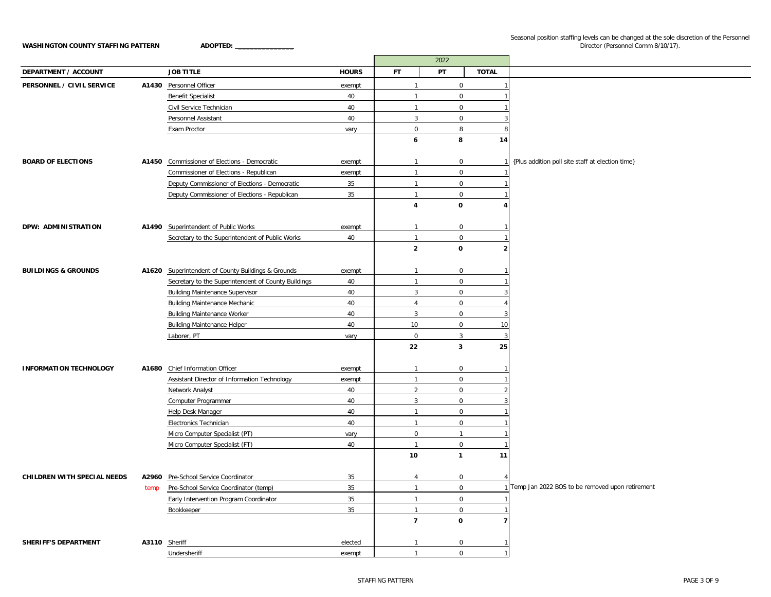|                                |               |                                                                                 |              |                         | 2022                |                          |                                                   |
|--------------------------------|---------------|---------------------------------------------------------------------------------|--------------|-------------------------|---------------------|--------------------------|---------------------------------------------------|
| DEPARTMENT / ACCOUNT           |               | <b>JOB TITLE</b>                                                                | <b>HOURS</b> | <b>FT</b>               | PT                  | <b>TOTAL</b>             |                                                   |
| PERSONNEL / CIVIL SERVICE      |               | A1430 Personnel Officer                                                         | exempt       | $\overline{1}$          | $\mathbf 0$         |                          |                                                   |
|                                |               | <b>Benefit Specialist</b>                                                       | 40           | $\mathbf{1}$            | $\mathbf 0$         |                          |                                                   |
|                                |               | Civil Service Technician                                                        | 40           | $\overline{1}$          | $\mathbf 0$         |                          |                                                   |
|                                |               | Personnel Assistant                                                             | 40           | $\mathbf{3}$            | $\mathbf 0$         |                          |                                                   |
|                                |               | Exam Proctor                                                                    | vary         | $\mathbf 0$             | 8                   | $\mathbf{R}$             |                                                   |
|                                |               |                                                                                 |              | 6                       | 8                   | 14                       |                                                   |
|                                |               |                                                                                 |              |                         |                     |                          |                                                   |
| <b>BOARD OF ELECTIONS</b>      |               | A1450 Commissioner of Elections - Democratic                                    | exempt       | $\mathbf{1}$            | $\mathbf 0$         | $\mathbf{1}$             | {Plus addition poll site staff at election time}  |
|                                |               | Commissioner of Elections - Republican                                          | exempt       | $\overline{1}$          | $\mathbf 0$         |                          |                                                   |
|                                |               | Deputy Commissioner of Elections - Democratic                                   | 35           | $\mathbf{1}$            | $\mathbf 0$         |                          |                                                   |
|                                |               | Deputy Commissioner of Elections - Republican                                   | 35           | $\overline{1}$          | $\mathbf 0$         |                          |                                                   |
|                                |               |                                                                                 |              | $\overline{\mathbf{4}}$ | 0                   | 4                        |                                                   |
|                                |               |                                                                                 |              |                         |                     |                          |                                                   |
| DPW: ADMINISTRATION            |               | A1490 Superintendent of Public Works                                            | exempt       | $\overline{1}$          | $\mathbf 0$         |                          |                                                   |
|                                |               | Secretary to the Superintendent of Public Works                                 | 40           | $\overline{1}$          | $\mathbf 0$         |                          |                                                   |
|                                |               |                                                                                 |              | $\overline{2}$          | 0                   | $\overline{\mathbf{2}}$  |                                                   |
|                                |               |                                                                                 |              |                         |                     |                          |                                                   |
| <b>BUILDINGS &amp; GROUNDS</b> |               | A1620 Superintendent of County Buildings & Grounds                              | exempt       | -1                      | $\mathbf 0$         |                          |                                                   |
|                                |               | Secretary to the Superintendent of County Buildings                             | 40           | $\overline{1}$          | $\mathbf 0$         |                          |                                                   |
|                                |               | <b>Building Maintenance Supervisor</b>                                          | 40           | $\overline{3}$          | $\mathbf 0$         |                          |                                                   |
|                                |               | <b>Building Maintenance Mechanic</b>                                            | 40           | $\overline{4}$          | $\mathbf 0$         |                          |                                                   |
|                                |               | <b>Building Maintenance Worker</b>                                              | 40           | $\mathbf{3}$            | $\mathbf 0$         |                          |                                                   |
|                                |               | <b>Building Maintenance Helper</b>                                              | 40           | 10                      | $\mathbf 0$         | 10                       |                                                   |
|                                |               | Laborer, PT                                                                     | vary         | $\mathsf 0$             | $\mathbf{3}$        | 3                        |                                                   |
|                                |               |                                                                                 |              | 22                      | 3                   | 25                       |                                                   |
|                                |               |                                                                                 |              |                         |                     |                          |                                                   |
| <b>INFORMATION TECHNOLOGY</b>  | A1680         | Chief Information Officer                                                       | exempt       | $\overline{1}$          | $\mathbf 0$         |                          |                                                   |
|                                |               | Assistant Director of Information Technology                                    | exempt       | $\mathbf{1}$            | $\mathbf 0$         |                          |                                                   |
|                                |               | Network Analyst                                                                 | 40           | $\overline{2}$          | $\mathbf 0$         | $\overline{2}$           |                                                   |
|                                |               | Computer Programmer                                                             | 40           | $\mathbf{3}$            | $\mathsf{O}$        |                          |                                                   |
|                                |               | Help Desk Manager                                                               | 40           | $\overline{1}$          | $\mathbf 0$         |                          |                                                   |
|                                |               | Electronics Technician                                                          | 40           | $\overline{1}$          | $\mathsf{O}\xspace$ |                          |                                                   |
|                                |               | Micro Computer Specialist (PT)                                                  | vary         | $\mathsf 0$             | $\mathbf{1}$        |                          |                                                   |
|                                |               | Micro Computer Specialist (FT)                                                  | 40           | $\overline{1}$          | $\mathsf 0$         | $\overline{1}$           |                                                   |
|                                |               |                                                                                 |              | 10                      | $\mathbf{1}$        | 11                       |                                                   |
| CHILDREN WITH SPECIAL NEEDS    |               | A2960 Pre-School Service Coordinator                                            | 35           | 4                       | $\mathbf 0$         |                          |                                                   |
|                                |               |                                                                                 | 35           | $\overline{1}$          | $\mathsf 0$         |                          | 1 Temp Jan 2022 BOS to be removed upon retirement |
|                                | temp          | Pre-School Service Coordinator (temp)<br>Early Intervention Program Coordinator | 35           | $\mathbf{1}$            | $\mathbf 0$         |                          |                                                   |
|                                |               | Bookkeeper                                                                      | 35           | $\overline{1}$          | $\mathbf 0$         |                          |                                                   |
|                                |               |                                                                                 |              | $\overline{\mathbf{z}}$ | 0                   | $\overline{\phantom{a}}$ |                                                   |
|                                |               |                                                                                 |              |                         |                     |                          |                                                   |
| <b>SHERIFF'S DEPARTMENT</b>    | A3110 Sheriff |                                                                                 | elected      | $\overline{1}$          | $\mathbf 0$         |                          |                                                   |
|                                |               | Undersheriff                                                                    | exempt       | $\overline{1}$          | $\Omega$            | $\mathbf{1}$             |                                                   |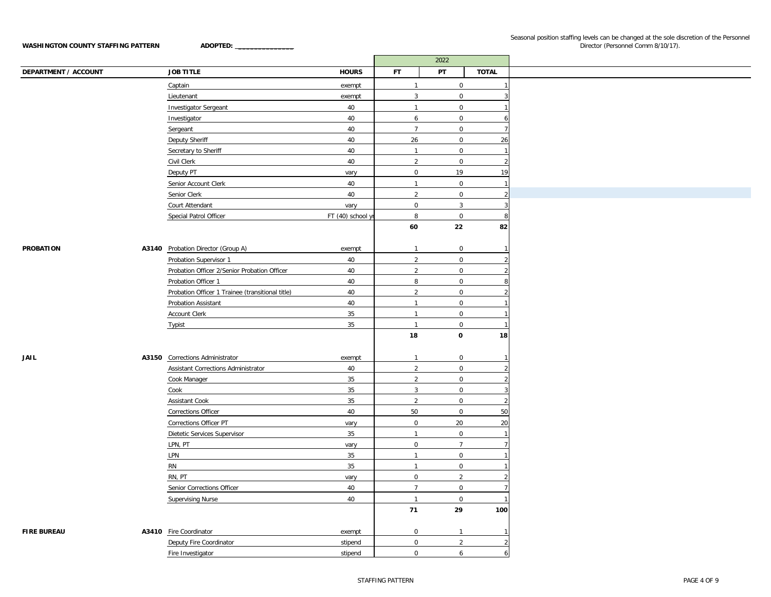|                             |                                                  |                    | 2022                |                |                          |
|-----------------------------|--------------------------------------------------|--------------------|---------------------|----------------|--------------------------|
| <b>DEPARTMENT / ACCOUNT</b> | <b>JOB TITLE</b>                                 | <b>HOURS</b>       | <b>FT</b>           | PT             | <b>TOTAL</b>             |
|                             | Captain                                          | exempt             | $\overline{1}$      | $\mathsf{O}$   |                          |
|                             | Lieutenant                                       | exempt             | $\overline{3}$      | $\overline{0}$ | 3                        |
|                             | <b>Investigator Sergeant</b>                     | 40                 | $\overline{1}$      | $\overline{0}$ |                          |
|                             | Investigator                                     | 40                 | 6                   | $\mathbf 0$    |                          |
|                             | Sergeant                                         | 40                 | $\overline{7}$      | $\mathbf 0$    | $\overline{7}$           |
|                             | <b>Deputy Sheriff</b>                            | 40                 | 26                  | $\mathbf{0}$   | 26                       |
|                             | Secretary to Sheriff                             | 40                 | $\overline{1}$      | $\overline{0}$ |                          |
|                             | Civil Clerk                                      | 40                 | 2                   | $\mathbf 0$    | $\overline{2}$           |
|                             | Deputy PT                                        | vary               | $\mathbf 0$         | 19             | 19                       |
|                             | Senior Account Clerk                             | 40                 | $\overline{1}$      | $\overline{0}$ | $\mathbf{1}$             |
|                             | Senior Clerk                                     | 40                 | $\overline{2}$      | $\overline{0}$ | $\overline{2}$           |
|                             | Court Attendant                                  | vary               | $\overline{0}$      | $\overline{3}$ | 3                        |
|                             | Special Patrol Officer                           | FT $(40)$ school y | 8                   | $\mathbf 0$    | 8                        |
|                             |                                                  |                    | 60                  | 22             | 82                       |
|                             |                                                  |                    |                     |                |                          |
| <b>PROBATION</b>            | A3140 Probation Director (Group A)               | exempt             | $\mathbf{1}$        | $\mathbf 0$    |                          |
|                             | Probation Supervisor 1                           | 40                 | $\overline{2}$      | $\mathbf 0$    |                          |
|                             | Probation Officer 2/Senior Probation Officer     | 40                 | $\overline{2}$      | $\overline{0}$ |                          |
|                             | Probation Officer 1                              | 40                 | $\boldsymbol{8}$    | $\overline{0}$ | 8                        |
|                             | Probation Officer 1 Trainee (transitional title) | 40                 | $\overline{2}$      | $\mathbf 0$    |                          |
|                             | Probation Assistant                              | 40                 | $\overline{1}$      | $\mathbf 0$    |                          |
|                             | <b>Account Clerk</b>                             | 35                 | $\overline{1}$      | $\mathbf 0$    |                          |
|                             | Typist                                           | 35                 | $\overline{1}$      | 0              |                          |
|                             |                                                  |                    | 18                  | $\mathbf 0$    | 18                       |
|                             |                                                  |                    |                     |                |                          |
| <b>JAIL</b>                 | A3150 Corrections Administrator                  | exempt             | $\overline{1}$      | $\mathbf 0$    |                          |
|                             | Assistant Corrections Administrator              | 40                 | $\overline{2}$      | $\mathbf 0$    |                          |
|                             | Cook Manager                                     | 35                 | $\overline{2}$      | $\mathbf 0$    |                          |
|                             | Cook                                             | 35                 | $\overline{3}$      | $\overline{0}$ | 3                        |
|                             | Assistant Cook                                   | 35                 | $\overline{2}$      | $\mathbf 0$    |                          |
|                             | <b>Corrections Officer</b>                       | 40                 | 50                  | 0              | 50                       |
|                             | Corrections Officer PT                           | vary               | $\overline{0}$      | 20             | 20                       |
|                             | Dietetic Services Supervisor                     | 35                 | $\overline{1}$      | $\mathbf 0$    |                          |
|                             |                                                  |                    |                     | $\overline{7}$ | $\overline{7}$           |
|                             | LPN, PT                                          | vary               | $\mathbf 0$         |                |                          |
|                             | LPN                                              | 35                 | $\overline{1}$      | $\mathbf{0}$   |                          |
|                             | <b>RN</b>                                        | 35                 | $\overline{1}$      | $\mathbf 0$    |                          |
|                             | RN, PT                                           | vary               | $\mathsf 0$         | $\overline{2}$ |                          |
|                             | Senior Corrections Officer                       | 40                 | $\overline{7}$      | $\overline{0}$ |                          |
|                             | <b>Supervising Nurse</b>                         | 40                 | $\overline{1}$      | $\mathbf 0$    |                          |
|                             |                                                  |                    | 71                  | 29             | 100                      |
|                             |                                                  |                    |                     |                |                          |
| <b>FIRE BUREAU</b>          | A3410 Fire Coordinator                           | exempt             | $\mathsf 0$         | $\overline{1}$ |                          |
|                             | Deputy Fire Coordinator                          | stipend            | $\mathsf{O}\xspace$ | $\overline{2}$ | $\overline{\phantom{a}}$ |
|                             | Fire Investigator                                | stipend            | $\mathbf 0$         | 6              | 6                        |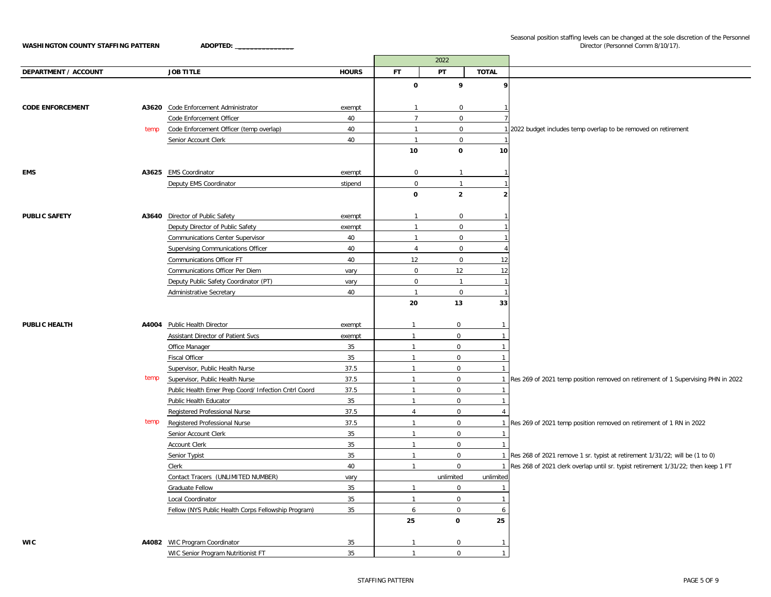Seasonal position staffing levels can be changed at the sole discretion of the Personnel Director (Personnel Comm 8/10/17).

|                             |      |                                                      |              |                | 2022                    |                |                                                                                     |
|-----------------------------|------|------------------------------------------------------|--------------|----------------|-------------------------|----------------|-------------------------------------------------------------------------------------|
| <b>DEPARTMENT / ACCOUNT</b> |      | <b>JOB TITLE</b>                                     | <b>HOURS</b> | <b>FT</b>      | PT                      | <b>TOTAL</b>   |                                                                                     |
|                             |      |                                                      |              | $\mathbf 0$    | 9                       | 9              |                                                                                     |
|                             |      |                                                      |              |                |                         |                |                                                                                     |
| <b>CODE ENFORCEMENT</b>     |      | A3620 Code Enforcement Administrator                 | exempt       | $\overline{1}$ | 0                       | $\mathbf{1}$   |                                                                                     |
|                             |      | Code Enforcement Officer                             | 40           | $\overline{7}$ | 0                       |                |                                                                                     |
|                             | temp | Code Enforcement Officer (temp overlap)              | 40           | $\overline{1}$ | 0                       |                | 1 2022 budget includes temp overlap to be removed on retirement                     |
|                             |      | Senior Account Clerk                                 | 40           | $\overline{1}$ | $\mathbf{0}$            |                |                                                                                     |
|                             |      |                                                      |              | 10             | 0                       | 10             |                                                                                     |
| <b>EMS</b>                  |      | A3625 EMS Coordinator                                | exempt       | $\mathbf 0$    | $\mathbf{1}$            |                |                                                                                     |
|                             |      | Deputy EMS Coordinator                               | stipend      | $\mathsf 0$    | $\mathbf{1}$            |                |                                                                                     |
|                             |      |                                                      |              | $\mathbf 0$    | $\overline{2}$          | $\overline{2}$ |                                                                                     |
| <b>PUBLIC SAFETY</b>        |      | A3640 Director of Public Safety                      | exempt       | $\overline{1}$ | 0                       |                |                                                                                     |
|                             |      | Deputy Director of Public Safety                     | exempt       | $\overline{1}$ | $\mathbf{0}$            |                |                                                                                     |
|                             |      | <b>Communications Center Supervisor</b>              | 40           | $\overline{1}$ | 0                       |                |                                                                                     |
|                             |      | Supervising Communications Officer                   | 40           | $\overline{4}$ | 0                       | $\overline{4}$ |                                                                                     |
|                             |      | Communications Officer FT                            | 40           | 12             | 0                       | 12             |                                                                                     |
|                             |      | Communications Officer Per Diem                      | vary         | $\mathsf 0$    | 12                      | 12             |                                                                                     |
|                             |      | Deputy Public Safety Coordinator (PT)                | vary         | $\mathsf 0$    | $\mathbf{1}$            | $\overline{1}$ |                                                                                     |
|                             |      | Administrative Secretary                             | 40           | $\overline{1}$ | 0                       | $\mathbf{1}$   |                                                                                     |
|                             |      |                                                      |              | 20             | 13                      | 33             |                                                                                     |
| PUBLIC HEALTH               |      | A4004 Public Health Director                         | exempt       | $\mathbf{1}$   | $\mathbf 0$             | $\mathbf{1}$   |                                                                                     |
|                             |      | Assistant Director of Patient Svcs                   | exempt       | $\mathbf{1}$   | $\mathbf 0$             | $\overline{1}$ |                                                                                     |
|                             |      | Office Manager                                       | 35           | $\mathbf{1}$   | $\mathbf 0$             | $\mathbf{1}$   |                                                                                     |
|                             |      | <b>Fiscal Officer</b>                                | 35           | $\mathbf{1}$   | $\mathbf 0$             | $\mathbf{1}$   |                                                                                     |
|                             |      | Supervisor, Public Health Nurse                      | 37.5         | $\mathbf{1}$   | $\mathsf{O}\phantom{0}$ | $\mathbf{1}$   |                                                                                     |
|                             | temp | Supervisor, Public Health Nurse                      | 37.5         | $\mathbf{1}$   | $\mathsf{O}\phantom{0}$ |                | 1 Res 269 of 2021 temp position removed on retirement of 1 Supervising PHN in 2022  |
|                             |      | Public Health Emer Prep Coord/ Infection Cntrl Coord | 37.5         | $\mathbf{1}$   | $\mathbf 0$             | $\overline{1}$ |                                                                                     |
|                             |      | Public Health Educator                               | 35           | $\mathbf{1}$   | $\mathbf{0}$            | $\overline{1}$ |                                                                                     |
|                             |      | Registered Professional Nurse                        | 37.5         | $\overline{4}$ | $\mathsf{O}$            | $\overline{4}$ |                                                                                     |
|                             | temp | Registered Professional Nurse                        | 37.5         | $\mathbf{1}$   | $\mathsf{O}$            |                | 1 Res 269 of 2021 temp position removed on retirement of 1 RN in 2022               |
|                             |      | Senior Account Clerk                                 | 35           | $\mathbf{1}$   | $\mathsf{O}$            | $\overline{1}$ |                                                                                     |
|                             |      | <b>Account Clerk</b>                                 | 35           | $\mathbf{1}$   | $\mathbf 0$             | $\overline{1}$ |                                                                                     |
|                             |      | Senior Typist                                        | 35           | $\mathbf{1}$   | $\mathbf 0$             |                | 1 Res 268 of 2021 remove 1 sr. typist at retirement 1/31/22; will be (1 to 0)       |
|                             |      | Clerk                                                | 40           | $\mathbf{1}$   | $\mathsf{O}$            |                | 1 Res 268 of 2021 clerk overlap until sr. typist retirement 1/31/22; then keep 1 FT |
|                             |      | Contact Tracers (UNLIMITED NUMBER)                   | vary         |                | unlimited               | unlimited      |                                                                                     |
|                             |      | Graduate Fellow                                      | 35           | $\mathbf{1}$   | $\mathbf 0$             | $\mathbf{1}$   |                                                                                     |
|                             |      | Local Coordinator                                    | 35           | $\mathbf{1}$   | $\mathsf{O}$            | $\mathbf{1}$   |                                                                                     |
|                             |      | Fellow (NYS Public Health Corps Fellowship Program)  | 35           | 6              | $\mathsf{O}$            | 6              |                                                                                     |
|                             |      |                                                      |              | 25             | 0                       | 25             |                                                                                     |
| <b>WIC</b>                  |      | A4082 WIC Program Coordinator                        | 35           | $\mathbf{1}$   | $\mathbf 0$             | $\overline{1}$ |                                                                                     |
|                             |      | WIC Senior Program Nutritionist FT                   | 35           | $\overline{1}$ | $\Omega$                | $\mathbf{1}$   |                                                                                     |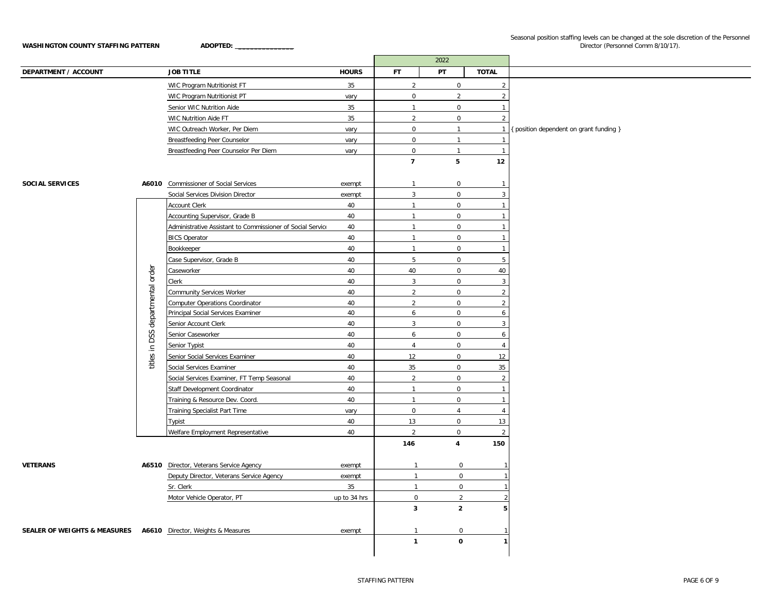|                                                                 |               |                                                            |              |                     | 2022                    |                |                                         |
|-----------------------------------------------------------------|---------------|------------------------------------------------------------|--------------|---------------------|-------------------------|----------------|-----------------------------------------|
| DEPARTMENT / ACCOUNT                                            |               | <b>JOB TITLE</b>                                           | <b>HOURS</b> | FT.                 | PT                      | <b>TOTAL</b>   |                                         |
|                                                                 |               | WIC Program Nutritionist FT                                | 35           | $\overline{2}$      | 0                       | $\overline{2}$ |                                         |
|                                                                 |               | WIC Program Nutritionist PT                                | vary         | $\mathsf{O}\xspace$ | $\overline{2}$          | $\overline{2}$ |                                         |
|                                                                 |               | Senior WIC Nutrition Aide                                  | 35           | $\mathbf{1}$        | $\mathbf 0$             | $\overline{1}$ |                                         |
|                                                                 |               | WIC Nutrition Aide FT                                      | 35           | $\overline{2}$      | $\mathsf{O}$            | $\overline{2}$ |                                         |
|                                                                 |               | WIC Outreach Worker, Per Diem                              | vary         | $\mathbf 0$         | $\mathbf{1}$            | $\overline{1}$ | { position dependent on grant funding } |
|                                                                 |               | Breastfeeding Peer Counselor                               | vary         | $\mathbf 0$         | $\mathbf{1}$            | $\overline{1}$ |                                         |
|                                                                 |               | Breastfeeding Peer Counselor Per Diem                      | vary         | $\mathbf 0$         | $\mathbf{1}$            | $\overline{1}$ |                                         |
|                                                                 |               |                                                            |              | $\overline{7}$      | 5                       | 12             |                                         |
|                                                                 |               |                                                            |              |                     |                         |                |                                         |
| <b>SOCIAL SERVICES</b>                                          |               | A6010 Commissioner of Social Services                      | exempt       | $\mathbf{1}$        | $\mathsf{O}$            | $\overline{1}$ |                                         |
|                                                                 |               | Social Services Division Director                          | exempt       | $\overline{3}$      | $\mathbf 0$             | $\mathbf{3}$   |                                         |
|                                                                 |               | Account Clerk                                              | 40           | $\mathbf{1}$        | $\mathsf{O}\phantom{0}$ | $\mathbf{1}$   |                                         |
|                                                                 |               | Accounting Supervisor, Grade B                             | 40           | $\mathbf{1}$        | $\mathbf 0$             | $\overline{1}$ |                                         |
|                                                                 |               | Administrative Assistant to Commissioner of Social Service | 40           | $\mathbf{1}$        | $\mathbf 0$             | $\overline{1}$ |                                         |
|                                                                 |               | <b>BICS Operator</b>                                       | 40           | $\mathbf{1}$        | $\mathbf 0$             | $\overline{1}$ |                                         |
|                                                                 |               | Bookkeeper                                                 | 40           | $\mathbf{1}$        | $\mathsf 0$             | $\overline{1}$ |                                         |
|                                                                 |               | Case Supervisor, Grade B                                   | 40           | 5                   | $\mathbf 0$             | 5              |                                         |
|                                                                 | order         | Caseworker                                                 | 40           | 40                  | $\mathsf{O}$            | 40             |                                         |
|                                                                 |               | Clerk                                                      | 40           | $\mathbf{3}$        | $\mathsf{O}$            | $\overline{3}$ |                                         |
|                                                                 | departmental  | Community Services Worker                                  | 40           | $\overline{2}$      | $\mathsf{O}$            | $\overline{2}$ |                                         |
|                                                                 |               | Computer Operations Coordinator                            | 40           | $\overline{2}$      | $\mathbf 0$             | $\overline{2}$ |                                         |
|                                                                 |               | Principal Social Services Examiner                         | 40           | 6                   | $\mathsf{O}$            | 6              |                                         |
|                                                                 |               | Senior Account Clerk                                       | 40           | $\overline{3}$      | $\mathbf 0$             | $\mathbf{3}$   |                                         |
|                                                                 | titles in DSS | Senior Caseworker                                          | 40           | 6                   | $\mathbf 0$             | 6              |                                         |
|                                                                 |               | Senior Typist                                              | 40           | $\overline{4}$      | $\mathbf 0$             | $\overline{4}$ |                                         |
|                                                                 |               | Senior Social Services Examiner                            | 40           | 12                  | $\mathsf{O}\phantom{0}$ | 12             |                                         |
|                                                                 |               | Social Services Examiner                                   | 40           | 35                  | $\overline{0}$          | 35             |                                         |
|                                                                 |               | Social Services Examiner, FT Temp Seasonal                 | 40           | 2                   | $\mathbf 0$             | 2              |                                         |
|                                                                 |               | Staff Development Coordinator                              | 40           | $\mathbf{1}$        | $\mathbf 0$             | $\overline{1}$ |                                         |
|                                                                 |               | Training & Resource Dev. Coord.                            | 40           | $\mathbf{1}$        | $\mathbf 0$             | $\overline{1}$ |                                         |
|                                                                 |               | Training Specialist Part Time                              | vary         | $\mathsf 0$         | $\overline{4}$          | $\overline{4}$ |                                         |
|                                                                 |               | Typist                                                     | 40           | 13                  | $\mathbf 0$             | 13             |                                         |
|                                                                 |               | Welfare Employment Representative                          | 40           | $\overline{2}$      | $\mathsf{O}\phantom{0}$ | 2              |                                         |
|                                                                 |               |                                                            |              | 146                 | 4                       | 150            |                                         |
|                                                                 |               |                                                            |              |                     |                         |                |                                         |
| <b>VETERANS</b>                                                 |               | A6510 Director, Veterans Service Agency                    | exempt       | $\overline{1}$      | 0                       |                |                                         |
|                                                                 |               | Deputy Director, Veterans Service Agency                   | exempt       | $\overline{1}$      | $\mathbf 0$             |                |                                         |
|                                                                 |               | Sr. Clerk                                                  | 35           | $\overline{1}$      | 0                       |                |                                         |
|                                                                 |               | Motor Vehicle Operator, PT                                 | up to 34 hrs | $\mathsf 0$         | $\overline{2}$          |                |                                         |
|                                                                 |               |                                                            |              | $\mathbf{3}$        | $\overline{2}$          | 5              |                                         |
|                                                                 |               |                                                            |              |                     |                         |                |                                         |
| SEALER OF WEIGHTS & MEASURES A6610 Director, Weights & Measures |               |                                                            | exempt       | $\mathbf{1}$        | $\mathbf 0$             |                |                                         |
|                                                                 |               |                                                            |              | $\mathbf{1}$        | 0                       |                |                                         |
|                                                                 |               |                                                            |              |                     |                         |                |                                         |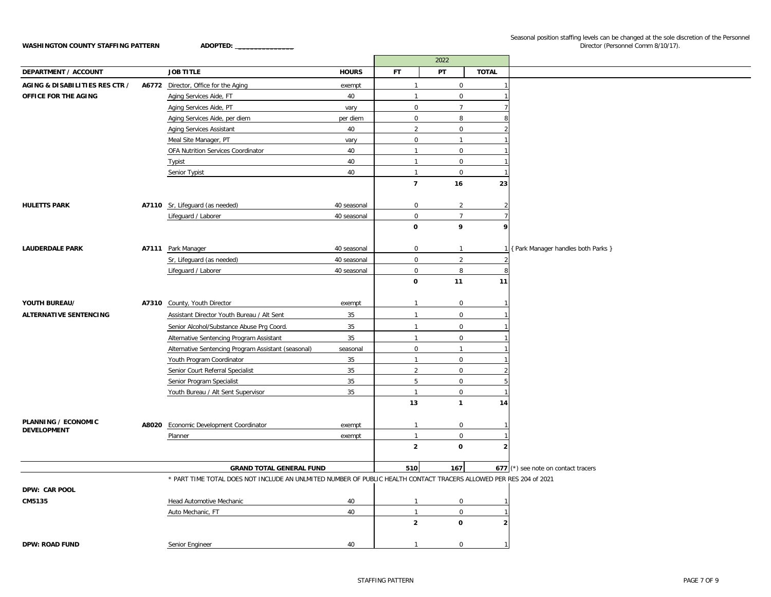|                                           |                                                                                                                    |              |                | 2022                    |                |                                       |
|-------------------------------------------|--------------------------------------------------------------------------------------------------------------------|--------------|----------------|-------------------------|----------------|---------------------------------------|
| <b>DEPARTMENT / ACCOUNT</b>               | <b>JOB TITLE</b>                                                                                                   | <b>HOURS</b> | FT.            | PT                      | <b>TOTAL</b>   |                                       |
| <b>AGING &amp; DISABILITIES RES CTR /</b> | A6772 Director, Office for the Aging                                                                               | exempt       | $\overline{1}$ | 0                       |                |                                       |
| OFFICE FOR THE AGING                      | Aging Services Aide, FT                                                                                            | 40           | $\mathbf{1}$   | $\mathsf{O}\phantom{0}$ |                |                                       |
|                                           | Aging Services Aide, PT                                                                                            | vary         | $\mathsf 0$    | $\overline{7}$          |                |                                       |
|                                           | Aging Services Aide, per diem                                                                                      | per diem     | $\mathbf 0$    | 8                       |                |                                       |
|                                           | Aging Services Assistant                                                                                           | 40           | $\overline{2}$ | $\mathsf{O}\phantom{0}$ |                |                                       |
|                                           | Meal Site Manager, PT                                                                                              | vary         | $\mathsf 0$    | $\mathbf{1}$            |                |                                       |
|                                           | OFA Nutrition Services Coordinator                                                                                 | 40           | $\overline{1}$ | $\mathbf 0$             |                |                                       |
|                                           | <b>Typist</b>                                                                                                      | 40           | $\mathbf{1}$   | 0                       |                |                                       |
|                                           | Senior Typist                                                                                                      | 40           | $\mathbf{1}$   | 0                       |                |                                       |
|                                           |                                                                                                                    |              | $\overline{7}$ | 16                      | 23             |                                       |
|                                           |                                                                                                                    |              |                |                         |                |                                       |
| <b>HULETTS PARK</b>                       | A7110 Sr, Lifeguard (as needed)                                                                                    | 40 seasonal  | $\mathbf 0$    | $\overline{2}$          | $\overline{2}$ |                                       |
|                                           | Lifeguard / Laborer                                                                                                | 40 seasonal  | $\mathbf 0$    | $\overline{7}$          |                |                                       |
|                                           |                                                                                                                    |              | $\mathbf 0$    | 9                       | 9              |                                       |
|                                           |                                                                                                                    |              |                |                         |                |                                       |
| <b>LAUDERDALE PARK</b>                    | A7111 Park Manager                                                                                                 | 40 seasonal  | $\mathbf 0$    | $\mathbf{1}$            |                | 1 { Park Manager handles both Parks } |
|                                           | Sr, Lifeguard (as needed)                                                                                          | 40 seasonal  | $\mathsf 0$    | $\overline{2}$          |                |                                       |
|                                           | Lifeguard / Laborer                                                                                                | 40 seasonal  | $\mathsf 0$    | 8                       | 8              |                                       |
|                                           |                                                                                                                    |              | $\mathbf 0$    | 11                      | 11             |                                       |
|                                           |                                                                                                                    |              |                |                         |                |                                       |
| YOUTH BUREAU/                             | A7310 County, Youth Director                                                                                       | exempt       | $\overline{1}$ | 0                       |                |                                       |
| ALTERNATIVE SENTENCING                    | Assistant Director Youth Bureau / Alt Sent                                                                         | 35           | $\overline{1}$ | 0                       |                |                                       |
|                                           | Senior Alcohol/Substance Abuse Prg Coord.                                                                          | 35           | $\mathbf{1}$   | 0                       |                |                                       |
|                                           | Alternative Sentencing Program Assistant                                                                           | 35           | $\mathbf{1}$   | 0                       |                |                                       |
|                                           | Alternative Sentencing Program Assistant (seasonal)                                                                | seasonal     | $\mathsf 0$    | $\mathbf{1}$            |                |                                       |
|                                           | Youth Program Coordinator                                                                                          | 35           | $\mathbf{1}$   | 0                       |                |                                       |
|                                           | Senior Court Referral Specialist                                                                                   | 35           | $\overline{2}$ | $\mathbf 0$             |                |                                       |
|                                           | Senior Program Specialist                                                                                          | 35           | 5              | 0                       |                |                                       |
|                                           | Youth Bureau / Alt Sent Supervisor                                                                                 | 35           | $\mathbf{1}$   | $\mathbf 0$             |                |                                       |
|                                           |                                                                                                                    |              | 13             | $\mathbf{1}$            | 14             |                                       |
|                                           |                                                                                                                    |              |                |                         |                |                                       |
| PLANNING / ECONOMIC<br><b>DEVELOPMENT</b> | A8020 Economic Development Coordinator                                                                             | exempt       | $\mathbf{1}$   | 0                       | -1             |                                       |
|                                           | Planner                                                                                                            | exempt       | $\overline{1}$ | 0                       |                |                                       |
|                                           |                                                                                                                    |              | $\overline{2}$ | $\mathbf{o}$            | $\overline{2}$ |                                       |
|                                           |                                                                                                                    |              |                |                         |                |                                       |
|                                           | <b>GRAND TOTAL GENERAL FUND</b>                                                                                    |              | 510            | 167                     |                | 677 (*) see note on contact tracers   |
|                                           | * PART TIME TOTAL DOES NOT INCLUDE AN UNLMITED NUMBER OF PUBLIC HEALTH CONTACT TRACERS ALLOWED PER RES 204 of 2021 |              |                |                         |                |                                       |
| DPW: CAR POOL                             |                                                                                                                    |              |                |                         |                |                                       |
| CM5135                                    | Head Automotive Mechanic                                                                                           | 40           | $\overline{1}$ | 0                       | ำ              |                                       |
|                                           | Auto Mechanic, FT                                                                                                  | 40           | $\mathbf{1}$   | $\mathbf 0$             |                |                                       |
|                                           |                                                                                                                    |              | $\overline{2}$ | 0                       | $\overline{2}$ |                                       |
|                                           |                                                                                                                    |              |                |                         |                |                                       |
| <b>DPW: ROAD FUND</b>                     | Senior Engineer                                                                                                    | 40           | $\mathbf{1}$   | 0                       | $\mathbf{1}$   |                                       |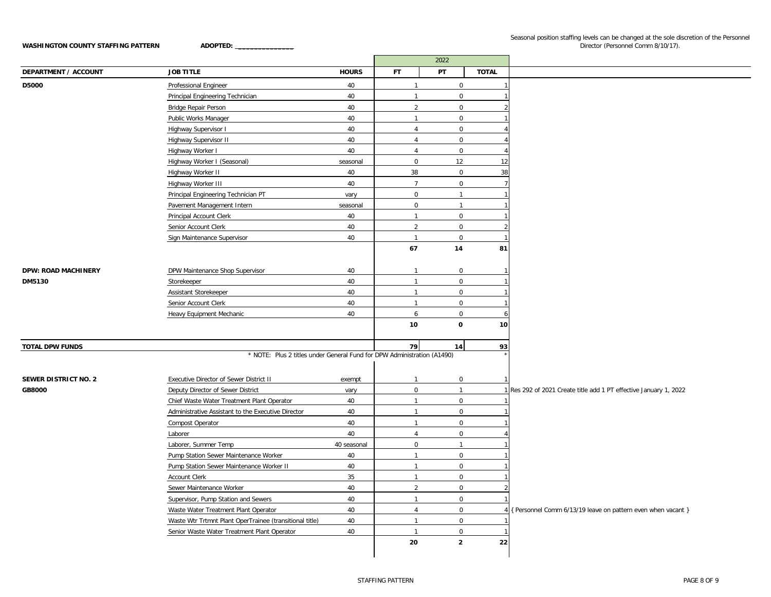|                             |                                                                         |              |                | 2022                |              |                                                                   |
|-----------------------------|-------------------------------------------------------------------------|--------------|----------------|---------------------|--------------|-------------------------------------------------------------------|
| <b>DEPARTMENT / ACCOUNT</b> | <b>JOB TITLE</b>                                                        | <b>HOURS</b> | <b>FT</b>      | PT                  | <b>TOTAL</b> |                                                                   |
| D5000                       | Professional Engineer                                                   | 40           | $\mathbf{1}$   | $\mathbf 0$         |              |                                                                   |
|                             | Principal Engineering Technician                                        | 40           | $\overline{1}$ | $\overline{0}$      |              |                                                                   |
|                             | Bridge Repair Person                                                    | 40           | $\overline{2}$ | $\mathbf 0$         |              |                                                                   |
|                             | Public Works Manager                                                    | 40           | $\mathbf{1}$   | $\mathbf 0$         |              |                                                                   |
|                             | Highway Supervisor I                                                    | 40           | $\overline{4}$ | $\mathbf 0$         |              |                                                                   |
|                             | Highway Supervisor II                                                   | 40           | $\overline{4}$ | $\mathsf 0$         |              |                                                                   |
|                             | Highway Worker I                                                        | 40           | $\overline{4}$ | $\mathbf 0$         |              |                                                                   |
|                             | Highway Worker I (Seasonal)                                             | seasonal     | $\mathbf{0}$   | 12                  | 12           |                                                                   |
|                             | Highway Worker II                                                       | 40           | 38             | $\mathbf 0$         | 38           |                                                                   |
|                             | Highway Worker III                                                      | 40           | $\overline{7}$ | $\mathsf{O}\xspace$ |              |                                                                   |
|                             | Principal Engineering Technician PT                                     | vary         | $\overline{0}$ | $\mathbf{1}$        |              |                                                                   |
|                             | Pavement Management Intern                                              | seasonal     | $\mathbf 0$    | $\mathbf{1}$        |              |                                                                   |
|                             | Principal Account Clerk                                                 | 40           | $\mathbf{1}$   | $\mathbf 0$         |              |                                                                   |
|                             | Senior Account Clerk                                                    | 40           | $\overline{2}$ | $\mathsf 0$         |              |                                                                   |
|                             | Sign Maintenance Supervisor                                             | 40           | $\overline{1}$ | $\mathbf 0$         |              |                                                                   |
|                             |                                                                         |              | 67             | 14                  | 81           |                                                                   |
|                             |                                                                         |              |                |                     |              |                                                                   |
| <b>DPW: ROAD MACHINERY</b>  | DPW Maintenance Shop Supervisor                                         | 40           | $\mathbf{1}$   | $\mathbf 0$         |              |                                                                   |
| DM5130                      | Storekeeper                                                             | 40           | $\mathbf{1}$   | $\mathbf 0$         |              |                                                                   |
|                             | Assistant Storekeeper                                                   | 40           | $\mathbf{1}$   | $\mathbf 0$         |              |                                                                   |
|                             | Senior Account Clerk                                                    | 40           | $\overline{1}$ | $\mathbf 0$         |              |                                                                   |
|                             | Heavy Equipment Mechanic                                                | 40           | 6              | $\mathbf 0$         |              |                                                                   |
|                             |                                                                         |              | 10             | 0                   | 10           |                                                                   |
|                             |                                                                         |              |                |                     |              |                                                                   |
| <b>TOTAL DPW FUNDS</b>      |                                                                         |              | 79             | 14                  | 93           |                                                                   |
|                             | * NOTE: Plus 2 titles under General Fund for DPW Administration (A1490) |              |                |                     |              |                                                                   |
|                             |                                                                         |              |                |                     |              |                                                                   |
| <b>SEWER DISTRICT NO. 2</b> | Executive Director of Sewer District II                                 | exempt       | $\mathbf{1}$   | $\mathbf 0$         |              |                                                                   |
| <b>GB8000</b>               | Deputy Director of Sewer District                                       | vary         | $\mathbf 0$    | 1                   |              | 1 Res 292 of 2021 Create title add 1 PT effective January 1, 2022 |
|                             | Chief Waste Water Treatment Plant Operator                              | 40           | $\mathbf{1}$   | $\mathbf 0$         |              |                                                                   |
|                             | Administrative Assistant to the Executive Director                      | 40           | $\mathbf{1}$   | $\overline{0}$      |              |                                                                   |
|                             | Compost Operator                                                        | 40           | $\mathbf{1}$   | $\overline{0}$      |              |                                                                   |
|                             | Laborer                                                                 | 40           | $\overline{4}$ | $\mathsf 0$         |              |                                                                   |
|                             | Laborer, Summer Temp                                                    | 40 seasonal  | $\mathbf{0}$   | $\mathbf{1}$        |              |                                                                   |
|                             | Pump Station Sewer Maintenance Worker                                   | 40           | $\mathbf{1}$   | $\mathbf 0$         |              |                                                                   |
|                             | Pump Station Sewer Maintenance Worker II                                | 40           | $\mathbf{1}$   | $\mathbf 0$         |              |                                                                   |
|                             | Account Clerk                                                           | 35           | $\mathbf{1}$   | $\mathbf 0$         |              |                                                                   |
|                             | Sewer Maintenance Worker                                                | 40           | $\overline{2}$ | $\mathbf 0$         |              |                                                                   |
|                             | Supervisor, Pump Station and Sewers                                     | 40           | $\mathbf{1}$   | $\mathbf 0$         |              |                                                                   |
|                             | Waste Water Treatment Plant Operator                                    | 40           | $\overline{4}$ | $\overline{0}$      |              | 4 { Personnel Comm 6/13/19 leave on pattern even when vacant }    |
|                             | Waste Wtr Trtmnt Plant OperTrainee (transitional title)                 | 40           | $\mathbf{1}$   | $\overline{0}$      |              |                                                                   |
|                             | Senior Waste Water Treatment Plant Operator                             | 40           | $\mathbf{1}$   | $\mathbf 0$         |              |                                                                   |
|                             |                                                                         |              | 20             | $\mathbf{2}$        | 22           |                                                                   |
|                             |                                                                         |              |                |                     |              |                                                                   |